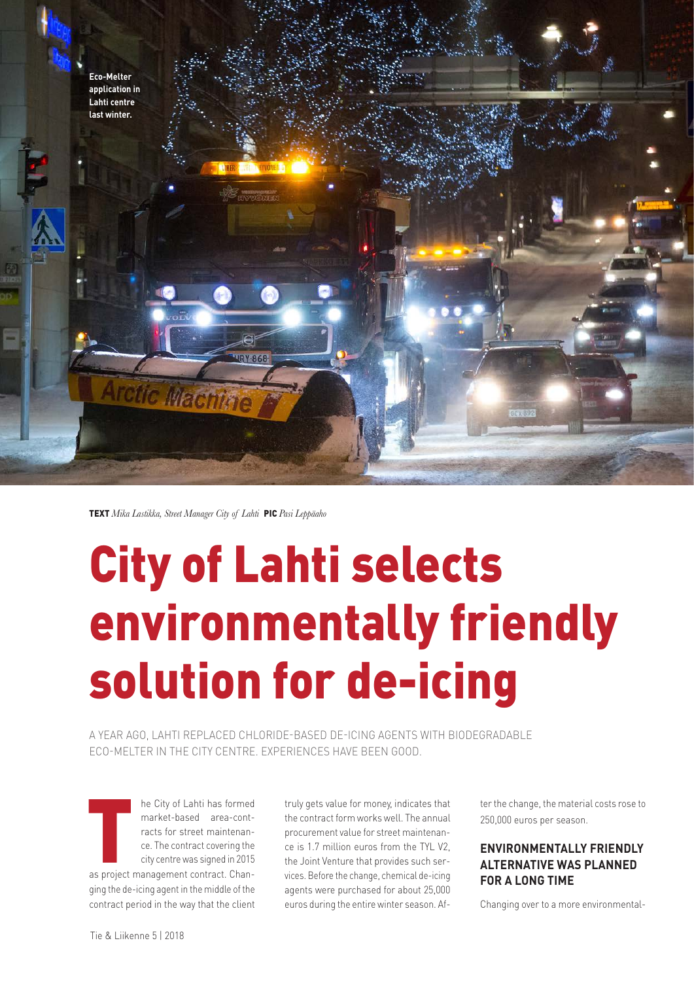

TEXT *Mika Lastikka, Street Manager City of Lahti* PIC *Pasi Leppäaho*

# City of Lahti selects environmentally friendly solution for de-icing

A YEAR AGO, LAHTI REPLACED CHLORIDE-BASED DE-ICING AGENTS WITH BIODEGRADABLE ECO-MELTER IN THE CITY CENTRE. EXPERIENCES HAVE BEEN GOOD.

The City of Lahti has formed<br>
market-based<br>
area-contracts for street maintenan-<br>
ce. The contract covering the<br>
city centre was signed in 2015<br>
as project management contract. Chanmarket-based area-contracts for street maintenance. The contract covering the city centre was signed in 2015 ging the de-icing agent in the middle of the contract period in the way that the client

truly gets value for money, indicates that the contract form works well. The annual procurement value for street maintenance is 1.7 million euros from the TYL V2, the Joint Venture that provides such services. Before the change, chemical de-icing agents were purchased for about 25,000 euros during the entire winter season. After the change, the material costs rose to 250,000 euros per season.

## **ENVIRONMENTALLY FRIENDLY ALTERNATIVE WAS PLANNED FOR A LONG TIME**

Changing over to a more environmental-